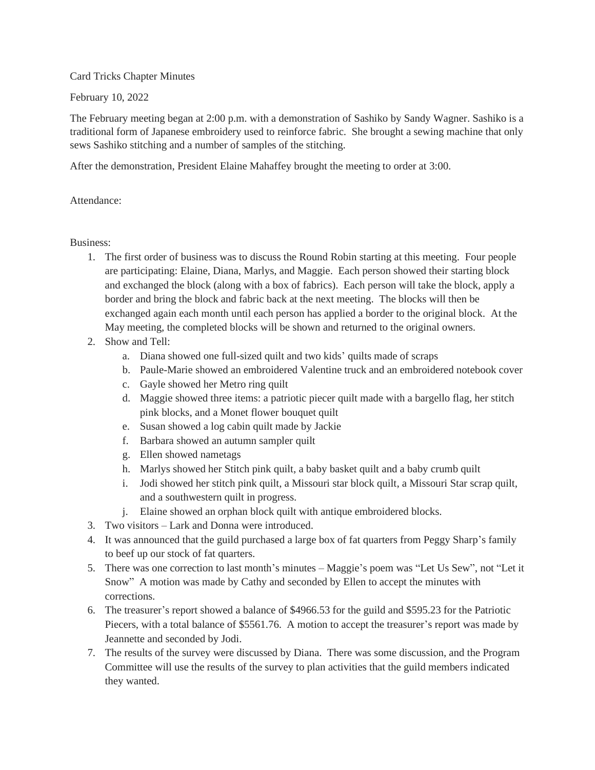## Card Tricks Chapter Minutes

## February 10, 2022

The February meeting began at 2:00 p.m. with a demonstration of Sashiko by Sandy Wagner. Sashiko is a traditional form of Japanese embroidery used to reinforce fabric. She brought a sewing machine that only sews Sashiko stitching and a number of samples of the stitching.

After the demonstration, President Elaine Mahaffey brought the meeting to order at 3:00.

## Attendance:

## Business:

- 1. The first order of business was to discuss the Round Robin starting at this meeting. Four people are participating: Elaine, Diana, Marlys, and Maggie. Each person showed their starting block and exchanged the block (along with a box of fabrics). Each person will take the block, apply a border and bring the block and fabric back at the next meeting. The blocks will then be exchanged again each month until each person has applied a border to the original block. At the May meeting, the completed blocks will be shown and returned to the original owners.
- 2. Show and Tell:
	- a. Diana showed one full-sized quilt and two kids' quilts made of scraps
	- b. Paule-Marie showed an embroidered Valentine truck and an embroidered notebook cover
	- c. Gayle showed her Metro ring quilt
	- d. Maggie showed three items: a patriotic piecer quilt made with a bargello flag, her stitch pink blocks, and a Monet flower bouquet quilt
	- e. Susan showed a log cabin quilt made by Jackie
	- f. Barbara showed an autumn sampler quilt
	- g. Ellen showed nametags
	- h. Marlys showed her Stitch pink quilt, a baby basket quilt and a baby crumb quilt
	- i. Jodi showed her stitch pink quilt, a Missouri star block quilt, a Missouri Star scrap quilt, and a southwestern quilt in progress.
	- j. Elaine showed an orphan block quilt with antique embroidered blocks.
- 3. Two visitors Lark and Donna were introduced.
- 4. It was announced that the guild purchased a large box of fat quarters from Peggy Sharp's family to beef up our stock of fat quarters.
- 5. There was one correction to last month's minutes Maggie's poem was "Let Us Sew", not "Let it Snow" A motion was made by Cathy and seconded by Ellen to accept the minutes with corrections.
- 6. The treasurer's report showed a balance of \$4966.53 for the guild and \$595.23 for the Patriotic Piecers, with a total balance of \$5561.76. A motion to accept the treasurer's report was made by Jeannette and seconded by Jodi.
- 7. The results of the survey were discussed by Diana. There was some discussion, and the Program Committee will use the results of the survey to plan activities that the guild members indicated they wanted.